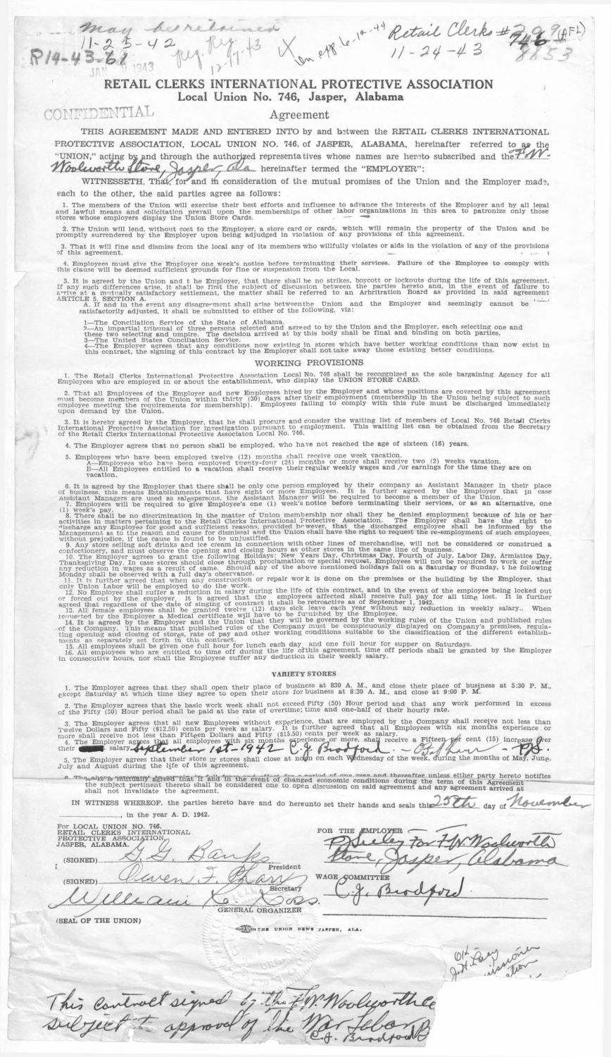# $42 \mu_1$   $\frac{124}{12} + 3 \frac{1}{2} \mu_2$  etg. le **RETAIL CLERKS INTERNATIONAL PROTECTIVE ASSOCIATION Local Union No. 746, Jasper, Alabama**

 $\lambda + 1$ 

 $11 - 29 - 4$ 

CONFIDENTIAL Agreement

*P/4-V* . **3***£ /*

 $\overline{a}$ 

**THIS AGREEMENT MADE AND ENTERED INTO by and between the RETAIL CLERKS INTERNATIONAL** PROTECTIVE ASSOCIATION, LOCAL UNION NO. 746, of JASPER, ALABAMA, hereinafter referred to as the UNION," acting by and through the authorized representatives whose names are hereto subscribed and the later of the later of the later of the later of the later of the later of the later of the later of the later of the la

WITNESSETH, That, for and m consideration of the mutual promises of the Union and the Employer made, **each to the other, the said parties agree as follows:**

1. The members of the Union will exercise their best efforts and influence to advance the interests of the Employer and by all legaled and spatial upon the memberships of other labor organizations in this area to patronize

2. The Union will lend, without cost to the Employer, a store card or cards, which will remain the property of the Union and be<br>promptly surrendered by the Employer upon being adjudged in violation of any provisions of thi

3. That it will fine and dismiss from the local any of its members who willfully violates or aids in the violation of any of the provisions of this agreement.

4. Employees must give the Employer one week's notice before terminating their services. Failure of the Employee to comply with<br>this clause will be deemed sufficient grounds for fine or suspension from the Local.

5. It is agreed by the Union and the Employer, that there shall be no strikes, boycott or lockouts during the life of this agreement if any such differences arise, it shall be first the subject of discussion between the p

may be relatived

1—The Conciliation Service of the State of Alabama.<br>2—An impartial tribunal of three persons selected and agreed to by the Union and the Employer, each selecting one and<br>these two selecting and umpire. The decision arrived

## **WORKING PROVISIONS**

1. The Retail Clerks International Protective Association Local No. 746 shall be recoggnized as the sole bargaining Agency for all<br>Employees who are employed in or about the establishment, who display the UNION STORE CARD.

2. That all Employees of the Employer and new Employees hired by the Employer and whose positions are covered by this agreement (membership in the Union being subject to such employee meeting the comployee meeting the Comp

3. It is hereby agreed by the Employer, that he shall procure and consder the waiting list of members of Local No. 746 Retall Clerks<br>International Protective Association for investigation pursuant to employment. This waiti

4. The Employer agrees that no person shall be employed, who have not reached the age of sixteen (16) years.

5. Employees who have been employed twelve (12) months shall receive one week vacation.<br>A-Employees who have been employed twenty-four (24) months or more shall receive two (2) weeks vacation.<br>B-All Employees entitled to

6. It is agreed by the Employer that there shall be only one person employed by their company as Assistant Manager in their place of business, this means Establishments that in case<br>of business, this means Establishments

(1) week's pay.<br>
a. There shall be no discrimination in the matter of Union membership nor shall they be denied employment because of his or her advitted in matters pertaining to the Refearch correct matter of the dischar

#### **VARIETY STORES**

1. The Employer agrees that they shall open their place of business at 830 A. M., and close their place of business at 5:30 P. M.<br>except Saturday at which time they agree to open their store for business at 8:30 A. M., and

2. The Employer agrees that the basic work week shall not exceed FIfty (50) Hour period and that any work performed in excess<br>of the Fifty (50) Hour period shall be paid at the rate of overtime; time and one-half of their

3. The Employer agrees that all new Employees without experience, that are employed by the Company shall receive not less than Twelve Dollars and Fifty (\$12.50) cents per week as salary. It is further agreed that all Empl 5. The Employer agrees that their store or stores s<br>July and August during the life of this agreement.

where interest that if and in the event of changed economic conditions during the term of this Agreement thereto notifies the uplect pertinent thereto shall be considered one to open discussion on said agreement and any ag

IN WITNESS WHEREOF, the parties hereto have and do hereunto set their hands and seals this 25th day of Moulmle **\_\_\_\_\_\_\_\_\_\_\_\_\_\_\_\_\_\_ In th e year A. D. 1942.**

| NO. 746,<br>For LOCAL UNION<br>INTERNATIONAL<br>RETAIL<br><b>CLERKS</b> | FOR<br>THE<br><b>EMPLOY</b> |
|-------------------------------------------------------------------------|-----------------------------|
| <b>ASSOCIATION</b><br>PROTECTIVE                                        | rrl                         |
| JASPER, ALABAMA.                                                        |                             |
| (SIGNED)                                                                |                             |
| President                                                               |                             |
|                                                                         | <b>WAGE COMMITTEE</b>       |
| (SIGNED)                                                                |                             |
|                                                                         |                             |
|                                                                         |                             |
| GENERAL ORGANIZER                                                       |                             |
|                                                                         |                             |

**(SEAL OF THE UNION)**

CONSTRE UNION NEWS JAPPER, ALA.

This control signed by the FW. Woolworthe